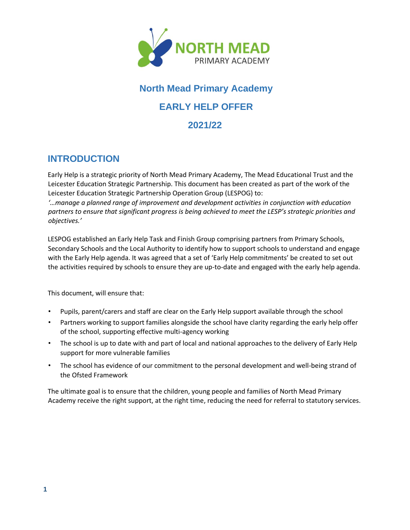

# **North Mead Primary Academy**

## **EARLY HELP OFFER**

### **2021/22**

## **INTRODUCTION**

Early Help is a strategic priority of North Mead Primary Academy, The Mead Educational Trust and the Leicester Education Strategic Partnership. This document has been created as part of the work of the Leicester Education Strategic Partnership Operation Group (LESPOG) to:

*'…manage a planned range of improvement and development activities in conjunction with education partners to ensure that significant progress is being achieved to meet the LESP's strategic priorities and objectives.'* 

LESPOG established an Early Help Task and Finish Group comprising partners from Primary Schools, Secondary Schools and the Local Authority to identify how to support schools to understand and engage with the Early Help agenda. It was agreed that a set of 'Early Help commitments' be created to set out the activities required by schools to ensure they are up-to-date and engaged with the early help agenda.

This document, will ensure that:

- Pupils, parent/carers and staff are clear on the Early Help support available through the school
- Partners working to support families alongside the school have clarity regarding the early help offer of the school, supporting effective multi-agency working
- The school is up to date with and part of local and national approaches to the delivery of Early Help support for more vulnerable families
- The school has evidence of our commitment to the personal development and well-being strand of the Ofsted Framework

The ultimate goal is to ensure that the children, young people and families of North Mead Primary Academy receive the right support, at the right time, reducing the need for referral to statutory services.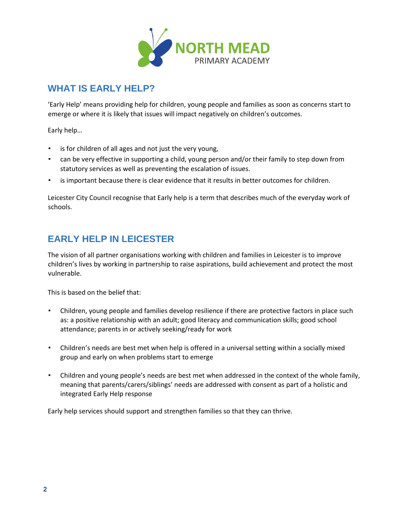

## **WHAT IS EARLY HELP?**

'Early Help' means providing help for children, young people and families as soon as concerns start to emerge or where it is likely that issues will impact negatively on children's outcomes.

Early help…

- is for children of all ages and not just the very young,
- can be very effective in supporting a child, young person and/or their family to step down from statutory services as well as preventing the escalation of issues.
- is important because there is clear evidence that it results in better outcomes for children.

Leicester City Council recognise that Early help is a term that describes much of the everyday work of schools.

## **EARLY HELP IN LEICESTER**

The vision of all partner organisations working with children and families in Leicester is to improve children's lives by working in partnership to raise aspirations, build achievement and protect the most vulnerable.

This is based on the belief that:

- Children, young people and families develop resilience if there are protective factors in place such as: a positive relationship with an adult; good literacy and communication skills; good school attendance; parents in or actively seeking/ready for work
- Children's needs are best met when help is offered in a universal setting within a socially mixed group and early on when problems start to emerge
- Children and young people's needs are best met when addressed in the context of the whole family, meaning that parents/carers/siblings' needs are addressed with consent as part of a holistic and integrated Early Help response

Early help services should support and strengthen families so that they can thrive.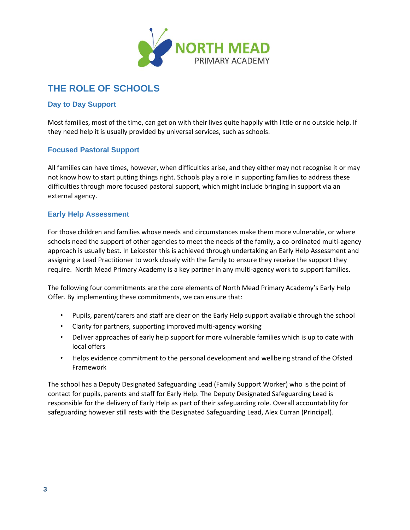

## **THE ROLE OF SCHOOLS**

#### **Day to Day Support**

Most families, most of the time, can get on with their lives quite happily with little or no outside help. If they need help it is usually provided by universal services, such as schools.

#### **Focused Pastoral Support**

All families can have times, however, when difficulties arise, and they either may not recognise it or may not know how to start putting things right. Schools play a role in supporting families to address these difficulties through more focused pastoral support, which might include bringing in support via an external agency.

#### **Early Help Assessment**

For those children and families whose needs and circumstances make them more vulnerable, or where schools need the support of other agencies to meet the needs of the family, a co-ordinated multi-agency approach is usually best. In Leicester this is achieved through undertaking an Early Help Assessment and assigning a Lead Practitioner to work closely with the family to ensure they receive the support they require. North Mead Primary Academy is a key partner in any multi-agency work to support families.

The following four commitments are the core elements of North Mead Primary Academy's Early Help Offer. By implementing these commitments, we can ensure that:

- Pupils, parent/carers and staff are clear on the Early Help support available through the school
- Clarity for partners, supporting improved multi-agency working
- Deliver approaches of early help support for more vulnerable families which is up to date with local offers
- Helps evidence commitment to the personal development and wellbeing strand of the Ofsted Framework

The school has a Deputy Designated Safeguarding Lead (Family Support Worker) who is the point of contact for pupils, parents and staff for Early Help. The Deputy Designated Safeguarding Lead is responsible for the delivery of Early Help as part of their safeguarding role. Overall accountability for safeguarding however still rests with the Designated Safeguarding Lead, Alex Curran (Principal).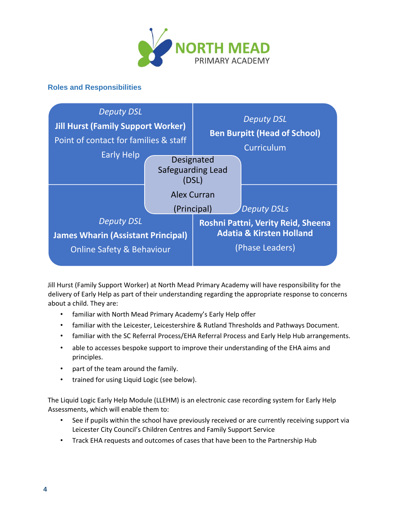

#### **Roles and Responsibilities**



Jill Hurst (Family Support Worker) at North Mead Primary Academy will have responsibility for the delivery of Early Help as part of their understanding regarding the appropriate response to concerns about a child. They are:

- familiar with North Mead Primary Academy's Early Help offer
- familiar with the Leicester, Leicestershire & Rutland Thresholds and Pathways Document.
- familiar with the SC Referral Process[/EHA Referral Process](https://www.leicester.gov.uk/schools-and-learning/support-for-children-and-young-people/early-help/referral-for-early-help-assessment/) and Early Help Hub arrangements.
- able to accesses bespoke support to improve their understanding of the EHA aims and principles.
- part of the team around the family.
- trained for using Liquid Logic (see below).

The Liquid Logic Early Help Module (LLEHM) is an electronic case recording system for Early Help Assessments, which will enable them to:

- See if pupils within the school have previously received or are currently receiving support via Leicester City Council's Children Centres and Family Support Service
- Track EHA requests and outcomes of cases that have been to the Partnership Hub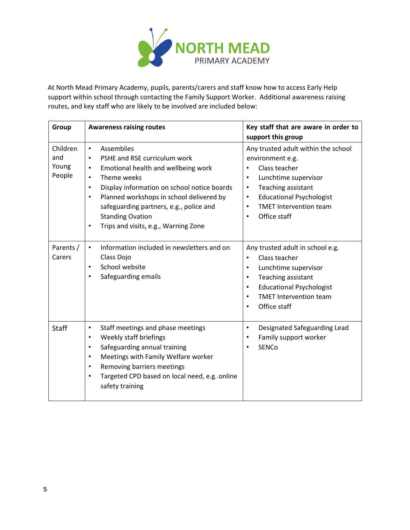

At North Mead Primary Academy, pupils, parents/carers and staff know how to access Early Help support within school through contacting the Family Support Worker. Additional awareness raising routes, and key staff who are likely to be involved are included below:

| Group                              | <b>Awareness raising routes</b>                                                                                                                                                                                                                                                                                                                                                                      | Key staff that are aware in order to<br>support this group                                                                                                                                                                                                                  |
|------------------------------------|------------------------------------------------------------------------------------------------------------------------------------------------------------------------------------------------------------------------------------------------------------------------------------------------------------------------------------------------------------------------------------------------------|-----------------------------------------------------------------------------------------------------------------------------------------------------------------------------------------------------------------------------------------------------------------------------|
| Children<br>and<br>Young<br>People | Assemblies<br>$\bullet$<br>PSHE and RSE curriculum work<br>$\bullet$<br>Emotional health and wellbeing work<br>$\bullet$<br>Theme weeks<br>$\bullet$<br>Display information on school notice boards<br>$\bullet$<br>Planned workshops in school delivered by<br>$\bullet$<br>safeguarding partners, e.g., police and<br><b>Standing Ovation</b><br>Trips and visits, e.g., Warning Zone<br>$\bullet$ | Any trusted adult within the school<br>environment e.g.<br>Class teacher<br>Lunchtime supervisor<br>$\bullet$<br>Teaching assistant<br>$\bullet$<br><b>Educational Psychologist</b><br>$\bullet$<br><b>TMET Intervention team</b><br>$\bullet$<br>Office staff<br>$\bullet$ |
| Parents /<br>Carers                | Information included in newsletters and on<br>$\bullet$<br>Class Dojo<br>School website<br>$\bullet$<br>Safeguarding emails<br>$\bullet$                                                                                                                                                                                                                                                             | Any trusted adult in school e.g.<br>Class teacher<br>٠<br>Lunchtime supervisor<br>$\bullet$<br>Teaching assistant<br>$\bullet$<br><b>Educational Psychologist</b><br>$\bullet$<br><b>TMET Intervention team</b><br>$\bullet$<br>Office staff<br>٠                           |
| <b>Staff</b>                       | Staff meetings and phase meetings<br>$\bullet$<br>Weekly staff briefings<br>$\bullet$<br>Safeguarding annual training<br>$\bullet$<br>Meetings with Family Welfare worker<br>$\bullet$<br>Removing barriers meetings<br>$\bullet$<br>Targeted CPD based on local need, e.g. online<br>$\bullet$<br>safety training                                                                                   | Designated Safeguarding Lead<br>$\bullet$<br>Family support worker<br>٠<br><b>SENCo</b>                                                                                                                                                                                     |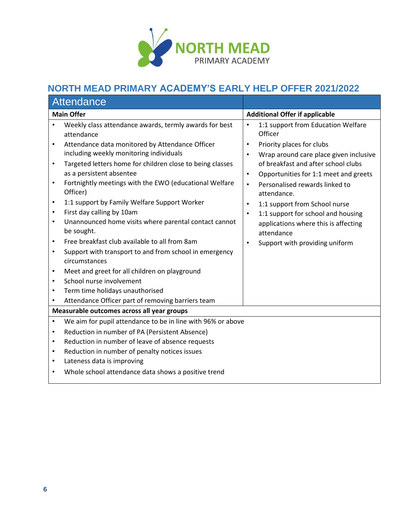

## **NORTH MEAD PRIMARY ACADEMY'S EARLY HELP OFFER 2021/2022**

| Attendance                                                                                                                                  |                                                                                                                                                                                                                                                                                                                                                                                                                                                                                                                                                                                                                                                                                                                                                                                        |                                                                                                      |                                                                                                                                                                                                                                                                                                                                                                                                                      |  |
|---------------------------------------------------------------------------------------------------------------------------------------------|----------------------------------------------------------------------------------------------------------------------------------------------------------------------------------------------------------------------------------------------------------------------------------------------------------------------------------------------------------------------------------------------------------------------------------------------------------------------------------------------------------------------------------------------------------------------------------------------------------------------------------------------------------------------------------------------------------------------------------------------------------------------------------------|------------------------------------------------------------------------------------------------------|----------------------------------------------------------------------------------------------------------------------------------------------------------------------------------------------------------------------------------------------------------------------------------------------------------------------------------------------------------------------------------------------------------------------|--|
| <b>Main Offer</b>                                                                                                                           |                                                                                                                                                                                                                                                                                                                                                                                                                                                                                                                                                                                                                                                                                                                                                                                        |                                                                                                      | <b>Additional Offer if applicable</b>                                                                                                                                                                                                                                                                                                                                                                                |  |
| $\bullet$<br>$\bullet$<br>$\bullet$<br>$\bullet$<br>$\bullet$<br>$\bullet$<br>$\bullet$<br>$\bullet$<br>$\bullet$<br>$\bullet$<br>$\bullet$ | Weekly class attendance awards, termly awards for best<br>attendance<br>Attendance data monitored by Attendance Officer<br>including weekly monitoring individuals<br>Targeted letters home for children close to being classes<br>as a persistent absentee<br>Fortnightly meetings with the EWO (educational Welfare<br>Officer)<br>1:1 support by Family Welfare Support Worker<br>First day calling by 10am<br>Unannounced home visits where parental contact cannot<br>be sought.<br>Free breakfast club available to all from 8am<br>Support with transport to and from school in emergency<br>circumstances<br>Meet and greet for all children on playground<br>School nurse involvement<br>Term time holidays unauthorised<br>Attendance Officer part of removing barriers team | $\bullet$<br>$\bullet$<br>$\bullet$<br>$\bullet$<br>$\bullet$<br>$\bullet$<br>$\bullet$<br>$\bullet$ | 1:1 support from Education Welfare<br>Officer<br>Priority places for clubs<br>Wrap around care place given inclusive<br>of breakfast and after school clubs<br>Opportunities for 1:1 meet and greets<br>Personalised rewards linked to<br>attendance.<br>1:1 support from School nurse<br>1:1 support for school and housing<br>applications where this is affecting<br>attendance<br>Support with providing uniform |  |
|                                                                                                                                             | Measurable outcomes across all year groups                                                                                                                                                                                                                                                                                                                                                                                                                                                                                                                                                                                                                                                                                                                                             |                                                                                                      |                                                                                                                                                                                                                                                                                                                                                                                                                      |  |
| $\bullet$<br>$\bullet$<br>$\bullet$<br>$\bullet$<br>$\bullet$<br>٠                                                                          | We aim for pupil attendance to be in line with 96% or above<br>Reduction in number of PA (Persistent Absence)<br>Reduction in number of leave of absence requests<br>Reduction in number of penalty notices issues<br>Lateness data is improving<br>Whole school attendance data shows a positive trend                                                                                                                                                                                                                                                                                                                                                                                                                                                                                |                                                                                                      |                                                                                                                                                                                                                                                                                                                                                                                                                      |  |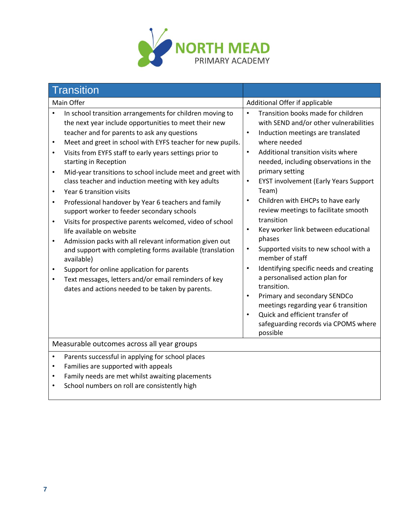

|                                                                                                      | <b>Transition</b>                                                                                                                                                                                                                                                                                                                                                                                                                                                                                                                                                                                                                                                                                                                                                                                                                                                                                                                                                 |                                                                                                                                |                                                                                                                                                                                                                                                                                                                                                                                                                                                                                                                                                                                                                                                                                                                                                                 |
|------------------------------------------------------------------------------------------------------|-------------------------------------------------------------------------------------------------------------------------------------------------------------------------------------------------------------------------------------------------------------------------------------------------------------------------------------------------------------------------------------------------------------------------------------------------------------------------------------------------------------------------------------------------------------------------------------------------------------------------------------------------------------------------------------------------------------------------------------------------------------------------------------------------------------------------------------------------------------------------------------------------------------------------------------------------------------------|--------------------------------------------------------------------------------------------------------------------------------|-----------------------------------------------------------------------------------------------------------------------------------------------------------------------------------------------------------------------------------------------------------------------------------------------------------------------------------------------------------------------------------------------------------------------------------------------------------------------------------------------------------------------------------------------------------------------------------------------------------------------------------------------------------------------------------------------------------------------------------------------------------------|
| Main Offer                                                                                           |                                                                                                                                                                                                                                                                                                                                                                                                                                                                                                                                                                                                                                                                                                                                                                                                                                                                                                                                                                   |                                                                                                                                | Additional Offer if applicable                                                                                                                                                                                                                                                                                                                                                                                                                                                                                                                                                                                                                                                                                                                                  |
| $\bullet$<br>$\bullet$<br>$\bullet$<br>$\bullet$<br>$\bullet$<br>$\bullet$<br>$\bullet$<br>$\bullet$ | In school transition arrangements for children moving to<br>the next year include opportunities to meet their new<br>teacher and for parents to ask any questions<br>Meet and greet in school with EYFS teacher for new pupils.<br>Visits from EYFS staff to early years settings prior to<br>starting in Reception<br>Mid-year transitions to school include meet and greet with<br>class teacher and induction meeting with key adults<br>Year 6 transition visits<br>Professional handover by Year 6 teachers and family<br>support worker to feeder secondary schools<br>Visits for prospective parents welcomed, video of school<br>life available on website<br>Admission packs with all relevant information given out<br>and support with completing forms available (translation<br>available)<br>Support for online application for parents<br>Text messages, letters and/or email reminders of key<br>dates and actions needed to be taken by parents. | $\bullet$<br>$\bullet$<br>$\bullet$<br>$\bullet$<br>$\bullet$<br>$\bullet$<br>$\bullet$<br>$\bullet$<br>$\bullet$<br>$\bullet$ | Transition books made for children<br>with SEND and/or other vulnerabilities<br>Induction meetings are translated<br>where needed<br>Additional transition visits where<br>needed, including observations in the<br>primary setting<br><b>EYST involvement (Early Years Support</b><br>Team)<br>Children with EHCPs to have early<br>review meetings to facilitate smooth<br>transition<br>Key worker link between educational<br>phases<br>Supported visits to new school with a<br>member of staff<br>Identifying specific needs and creating<br>a personalised action plan for<br>transition.<br>Primary and secondary SENDCo<br>meetings regarding year 6 transition<br>Quick and efficient transfer of<br>safeguarding records via CPOMS where<br>possible |
| Measurable outcomes across all year groups                                                           |                                                                                                                                                                                                                                                                                                                                                                                                                                                                                                                                                                                                                                                                                                                                                                                                                                                                                                                                                                   |                                                                                                                                |                                                                                                                                                                                                                                                                                                                                                                                                                                                                                                                                                                                                                                                                                                                                                                 |
| $\bullet$<br>$\bullet$<br>$\bullet$<br>$\bullet$                                                     | Parents successful in applying for school places<br>Families are supported with appeals<br>Family needs are met whilst awaiting placements<br>School numbers on roll are consistently high                                                                                                                                                                                                                                                                                                                                                                                                                                                                                                                                                                                                                                                                                                                                                                        |                                                                                                                                |                                                                                                                                                                                                                                                                                                                                                                                                                                                                                                                                                                                                                                                                                                                                                                 |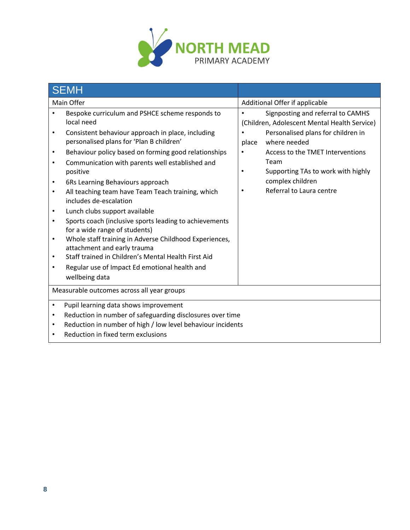

|                                                       | <b>SEMH</b>                                                                                                                                                                                                                                                                                                                                 |                        |                                                                                   |  |
|-------------------------------------------------------|---------------------------------------------------------------------------------------------------------------------------------------------------------------------------------------------------------------------------------------------------------------------------------------------------------------------------------------------|------------------------|-----------------------------------------------------------------------------------|--|
| Main Offer                                            |                                                                                                                                                                                                                                                                                                                                             |                        | Additional Offer if applicable                                                    |  |
|                                                       | Bespoke curriculum and PSHCE scheme responds to<br>local need                                                                                                                                                                                                                                                                               | $\bullet$              | Signposting and referral to CAMHS<br>(Children, Adolescent Mental Health Service) |  |
| ٠                                                     | Consistent behaviour approach in place, including<br>personalised plans for 'Plan B children'                                                                                                                                                                                                                                               | place                  | Personalised plans for children in<br>where needed                                |  |
| $\bullet$<br>٠                                        | Behaviour policy based on forming good relationships<br>Communication with parents well established and<br>positive                                                                                                                                                                                                                         | $\bullet$<br>$\bullet$ | Access to the TMET Interventions<br>Team<br>Supporting TAs to work with highly    |  |
| $\bullet$<br>$\bullet$                                | 6Rs Learning Behaviours approach<br>All teaching team have Team Teach training, which<br>includes de-escalation                                                                                                                                                                                                                             | $\bullet$              | complex children<br>Referral to Laura centre                                      |  |
| $\bullet$<br>$\bullet$<br>$\bullet$<br>$\bullet$<br>٠ | Lunch clubs support available<br>Sports coach (inclusive sports leading to achievements<br>for a wide range of students)<br>Whole staff training in Adverse Childhood Experiences,<br>attachment and early trauma<br>Staff trained in Children's Mental Health First Aid<br>Regular use of Impact Ed emotional health and<br>wellbeing data |                        |                                                                                   |  |
|                                                       | Measurable outcomes across all year groups                                                                                                                                                                                                                                                                                                  |                        |                                                                                   |  |
| $\bullet$<br>$\bullet$<br>$\bullet$                   | Pupil learning data shows improvement<br>Reduction in number of safeguarding disclosures over time<br>Reduction in number of high / low level behaviour incidents<br>Reduction in fixed term exclusions                                                                                                                                     |                        |                                                                                   |  |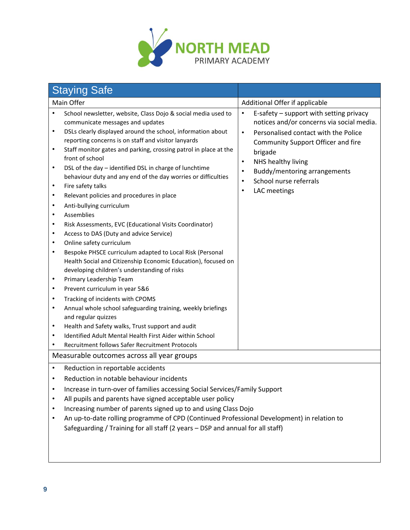

|                                                                                                                                                                                                                                | <b>Staying Safe</b>                                                                                                                                                                                                                                                                                                                                                                                                                                                                                                                                                                                                                                                                                                                                                                                                                                                                                                                                                                                                                                                                                                                                                        |                                                                                                                                                                                                                                                                                                                                                |  |
|--------------------------------------------------------------------------------------------------------------------------------------------------------------------------------------------------------------------------------|----------------------------------------------------------------------------------------------------------------------------------------------------------------------------------------------------------------------------------------------------------------------------------------------------------------------------------------------------------------------------------------------------------------------------------------------------------------------------------------------------------------------------------------------------------------------------------------------------------------------------------------------------------------------------------------------------------------------------------------------------------------------------------------------------------------------------------------------------------------------------------------------------------------------------------------------------------------------------------------------------------------------------------------------------------------------------------------------------------------------------------------------------------------------------|------------------------------------------------------------------------------------------------------------------------------------------------------------------------------------------------------------------------------------------------------------------------------------------------------------------------------------------------|--|
| Main Offer                                                                                                                                                                                                                     |                                                                                                                                                                                                                                                                                                                                                                                                                                                                                                                                                                                                                                                                                                                                                                                                                                                                                                                                                                                                                                                                                                                                                                            | Additional Offer if applicable                                                                                                                                                                                                                                                                                                                 |  |
| $\bullet$<br>$\bullet$<br>$\bullet$<br>$\bullet$<br>$\bullet$<br>$\bullet$<br>$\bullet$<br>$\bullet$<br>$\bullet$<br>$\bullet$<br>٠<br>$\bullet$<br>$\bullet$<br>$\bullet$<br>$\bullet$<br>$\bullet$<br>$\bullet$<br>$\bullet$ | School newsletter, website, Class Dojo & social media used to<br>communicate messages and updates<br>DSLs clearly displayed around the school, information about<br>reporting concerns is on staff and visitor lanyards<br>Staff monitor gates and parking, crossing patrol in place at the<br>front of school<br>DSL of the day - identified DSL in charge of lunchtime<br>behaviour duty and any end of the day worries or difficulties<br>Fire safety talks<br>Relevant policies and procedures in place<br>Anti-bullying curriculum<br>Assemblies<br>Risk Assessments, EVC (Educational Visits Coordinator)<br>Access to DAS (Duty and advice Service)<br>Online safety curriculum<br>Bespoke PHSCE curriculum adapted to Local Risk (Personal<br>Health Social and Citizenship Economic Education), focused on<br>developing children's understanding of risks<br>Primary Leadership Team<br>Prevent curriculum in year 5&6<br>Tracking of incidents with CPOMS<br>Annual whole school safeguarding training, weekly briefings<br>and regular quizzes<br>Health and Safety walks, Trust support and audit<br>Identified Adult Mental Health First Aider within School | E-safety - support with setting privacy<br>$\bullet$<br>notices and/or concerns via social media.<br>Personalised contact with the Police<br>$\bullet$<br>Community Support Officer and fire<br>brigade<br>NHS healthy living<br>$\bullet$<br>Buddy/mentoring arrangements<br>$\bullet$<br>School nurse referrals<br>LAC meetings<br>$\bullet$ |  |
|                                                                                                                                                                                                                                | Recruitment follows Safer Recruitment Protocols<br>Measurable outcomes across all year groups                                                                                                                                                                                                                                                                                                                                                                                                                                                                                                                                                                                                                                                                                                                                                                                                                                                                                                                                                                                                                                                                              |                                                                                                                                                                                                                                                                                                                                                |  |
| $\bullet$<br>$\bullet$<br>٠<br>٠                                                                                                                                                                                               | Reduction in reportable accidents<br>Reduction in notable behaviour incidents<br>Increase in turn-over of families accessing Social Services/Family Support<br>All pupils and parents have signed acceptable user policy<br>Increasing number of parents signed up to and using Class Dojo<br>An up-to-date rolling programme of CPD (Continued Professional Development) in relation to<br>Safeguarding / Training for all staff (2 years - DSP and annual for all staff)                                                                                                                                                                                                                                                                                                                                                                                                                                                                                                                                                                                                                                                                                                 |                                                                                                                                                                                                                                                                                                                                                |  |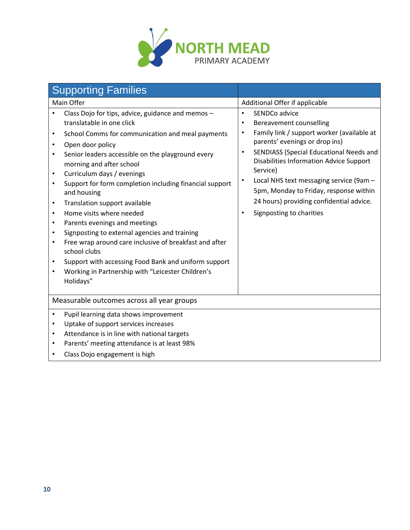

| <b>Supporting Families</b>                                                                                                                                                                                                                                                                                                                                                                                                                                                                                                                                                                                                                                                                                                                                                                                                                        |                                                                                                                                                                                                                                                                                                                                                                                                                                                    |
|---------------------------------------------------------------------------------------------------------------------------------------------------------------------------------------------------------------------------------------------------------------------------------------------------------------------------------------------------------------------------------------------------------------------------------------------------------------------------------------------------------------------------------------------------------------------------------------------------------------------------------------------------------------------------------------------------------------------------------------------------------------------------------------------------------------------------------------------------|----------------------------------------------------------------------------------------------------------------------------------------------------------------------------------------------------------------------------------------------------------------------------------------------------------------------------------------------------------------------------------------------------------------------------------------------------|
| Main Offer                                                                                                                                                                                                                                                                                                                                                                                                                                                                                                                                                                                                                                                                                                                                                                                                                                        | Additional Offer if applicable                                                                                                                                                                                                                                                                                                                                                                                                                     |
| Class Dojo for tips, advice, guidance and memos -<br>translatable in one click<br>School Comms for communication and meal payments<br>$\bullet$<br>Open door policy<br>$\bullet$<br>Senior leaders accessible on the playground every<br>morning and after school<br>Curriculum days / evenings<br>$\bullet$<br>Support for form completion including financial support<br>$\bullet$<br>and housing<br>Translation support available<br>$\bullet$<br>Home visits where needed<br>$\bullet$<br>Parents evenings and meetings<br>$\bullet$<br>Signposting to external agencies and training<br>$\bullet$<br>Free wrap around care inclusive of breakfast and after<br>$\bullet$<br>school clubs<br>Support with accessing Food Bank and uniform support<br>$\bullet$<br>Working in Partnership with "Leicester Children's<br>$\bullet$<br>Holidays" | SENDCo advice<br>$\bullet$<br>Bereavement counselling<br>$\bullet$<br>Family link / support worker (available at<br>$\bullet$<br>parents' evenings or drop ins)<br>SENDIASS (Special Educational Needs and<br>$\bullet$<br><b>Disabilities Information Advice Support</b><br>Service)<br>Local NHS text messaging service (9am -<br>5pm, Monday to Friday, response within<br>24 hours) providing confidential advice.<br>Signposting to charities |
| Measurable outcomes across all year groups                                                                                                                                                                                                                                                                                                                                                                                                                                                                                                                                                                                                                                                                                                                                                                                                        |                                                                                                                                                                                                                                                                                                                                                                                                                                                    |
| Pupil learning data shows improvement<br>$\bullet$<br>Uptake of support services increases<br>$\bullet$<br>Attendance is in line with national targets<br>$\bullet$<br>Parents' meeting attendance is at least 98%<br>$\bullet$<br>Class Dojo engagement is high<br>$\bullet$                                                                                                                                                                                                                                                                                                                                                                                                                                                                                                                                                                     |                                                                                                                                                                                                                                                                                                                                                                                                                                                    |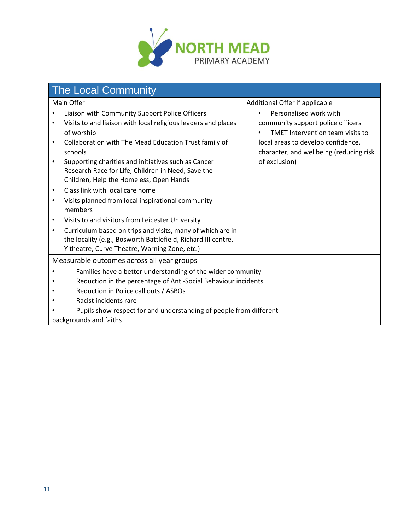

| <b>The Local Community</b>                                                                                                                                                                                                                                                                                                                                             |                                                                                                                                                                                                                |  |
|------------------------------------------------------------------------------------------------------------------------------------------------------------------------------------------------------------------------------------------------------------------------------------------------------------------------------------------------------------------------|----------------------------------------------------------------------------------------------------------------------------------------------------------------------------------------------------------------|--|
| Main Offer                                                                                                                                                                                                                                                                                                                                                             | Additional Offer if applicable                                                                                                                                                                                 |  |
| Liaison with Community Support Police Officers<br>Visits to and liaison with local religious leaders and places<br>of worship<br>Collaboration with The Mead Education Trust family of<br>$\bullet$<br>schools<br>Supporting charities and initiatives such as Cancer<br>Research Race for Life, Children in Need, Save the<br>Children, Help the Homeless, Open Hands | Personalised work with<br>$\bullet$<br>community support police officers<br>TMET Intervention team visits to<br>local areas to develop confidence,<br>character, and wellbeing (reducing risk<br>of exclusion) |  |
| Class link with local care home<br>٠<br>Visits planned from local inspirational community<br>٠<br>members                                                                                                                                                                                                                                                              |                                                                                                                                                                                                                |  |
| Visits to and visitors from Leicester University<br>$\bullet$                                                                                                                                                                                                                                                                                                          |                                                                                                                                                                                                                |  |
| Curriculum based on trips and visits, many of which are in<br>٠<br>the locality (e.g., Bosworth Battlefield, Richard III centre,<br>Y theatre, Curve Theatre, Warning Zone, etc.)                                                                                                                                                                                      |                                                                                                                                                                                                                |  |
| Measurable outcomes across all year groups                                                                                                                                                                                                                                                                                                                             |                                                                                                                                                                                                                |  |
| Families have a better understanding of the wider community<br>Reduction in the percentage of Anti-Social Behaviour incidents<br>Reduction in Police call outs / ASBOs<br>Racist incidents rare<br>Pupils show respect for and understanding of people from different                                                                                                  |                                                                                                                                                                                                                |  |
| backgrounds and faiths                                                                                                                                                                                                                                                                                                                                                 |                                                                                                                                                                                                                |  |